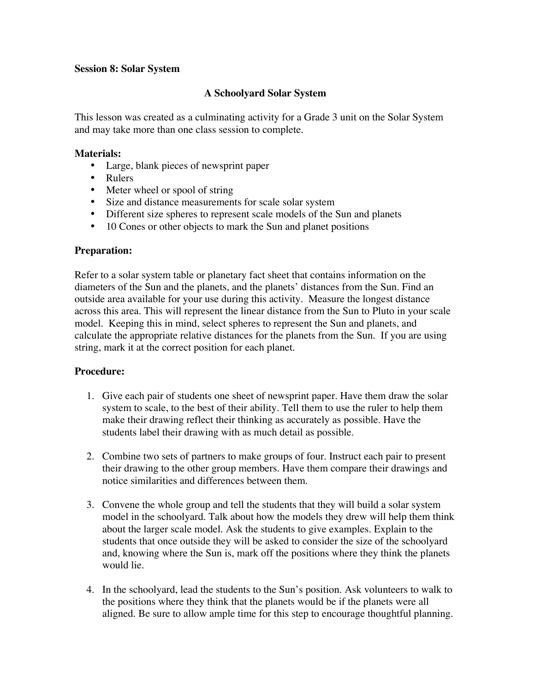#### **Session 8: Solar System**

# **A Schoolyard Solar System**

This lesson was created as a culminating activity for a Grade 3 unit on the Solar System and may take more than one class session to complete.

### **Materials:**

Large, blank pieces of newsprint paper Rulers Meter wheel or spool of string Size and distance measurements for scale solar system Different size spheres to represent scale models of the Sun and planets 10 Cones or other objects to mark the Sun and planet positions

# **Preparation:**

Refer to a solar system table or planetary fact sheet that contains information on the diameters of the Sun and the planets, and the planets' distances from the Sun. Find an outside area available for your use during this activity. Measure the longest distance across this area. This will represent the linear distance from the Sun to Pluto in your scale model. Keeping this in mind, select spheres to represent the Sun and planets, and calculate the appropriate relative distances for the planets from the Sun. If you are using string, mark it at the correct position for each planet.

# **Procedure:**

- 1. Give each pair of students one sheet of newsprint paper. Have them draw the solar system to scale, to the best of their ability. Tell them to use the ruler to help them make their drawing reflect their thinking as accurately as possible. Have the students label their drawing with as much detail as possible.
- 2. Combine two sets of partners to make groups of four. Instruct each pair to present their drawing to the other group members. Have them compare their drawings and notice similarities and differences between them.
- 3. Convene the whole group and tell the students that they will build a solar system model in the schoolyard. Talk about how the models they drew will help them think about the larger scale model. Ask the students to give examples. Explain to the students that once outside they will be asked to consider the size of the schoolyard and, knowing where the Sun is, mark off the positions where they think the planets would lie.
- 4. In the schoolyard, lead the students to the Sun's position. Ask volunteers to walk to the positions where they think that the planets would be if the planets were all aligned. Be sure to allow ample time for this step to encourage thoughtful planning.